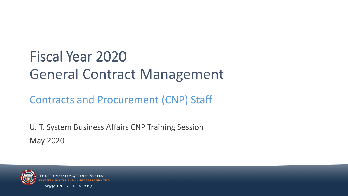## Fiscal Year 2020 General Contract Management

Contracts and Procurement (CNP) Staff

U. T. System Business Affairs CNP Training Session May 2020



THE UNIVERSITY of

WWW.UTSYSTEM.EDU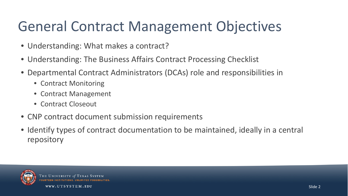#### General Contract Management Objectives

- Understanding: What makes a contract?
- Understanding: The Business Affairs Contract Processing Checklist
- Departmental Contract Administrators (DCAs) role and responsibilities in
	- Contract Monitoring
	- Contract Management
	- Contract Closeout
- CNP contract document submission requirements
- Identify types of contract documentation to be maintained, ideally in a central repository



**THE UNIVERSITY of**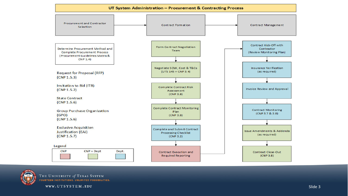#### UT System Administration - Procurement & Contracting Process





THE UNIVERSITY of TEXAS SYSTEM **FOURTEEN INSTITUTIONS. UNLIMITED POSSIBILITIES.** 

WWW.UTSYSTEM.EDU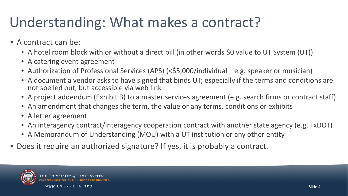#### Understanding: What makes a contract?

- A contract can be:
	- A hotel room block with or without a direct bill (in other words \$0 value to UT System (UT))
	- A catering event agreement
	- Authorization of Professional Services (APS) (<\$5,000/individual—e.g. speaker or musician)
	- A document a vendor asks to have signed that binds UT; especially if the terms and conditions are not spelled out, but accessible via web link
	- A project addendum (Exhibit B) to a master services agreement (e.g. search firms or contract staff)
	- An amendment that changes the term, the value or any terms, conditions or exhibits
	- A letter agreement
	- An interagency contract/interagency cooperation contract with another state agency (e.g. TxDOT)
	- A Memorandum of Understanding (MOU) with a UT institution or any other entity
- Does it require an authorized signature? If yes, it is probably a contract.

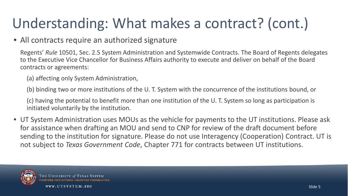## Understanding: What makes a contract? (cont.)

#### • All contracts require an authorized signature

Regents' *Rule* 10501, Sec. 2.5 System Administration and Systemwide Contracts. The Board of Regents delegates to the Executive Vice Chancellor for Business Affairs authority to execute and deliver on behalf of the Board contracts or agreements:

(a) affecting only System Administration,

(b) binding two or more institutions of the U. T. System with the concurrence of the institutions bound, or

(c) having the potential to benefit more than one institution of the U. T. System so long as participation is initiated voluntarily by the institution.

• UT System Administration uses MOUs as the vehicle for payments to the UT institutions. Please ask for assistance when drafting an MOU and send to CNP for review of the draft document before sending to the institution for signature. Please do not use Interagency (Cooperation) Contract. UT is not subject to *Texas Government Code*, Chapter 771 for contracts between UT institutions.

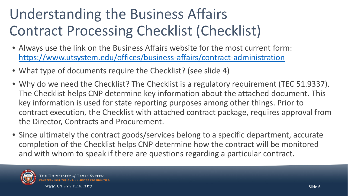## Understanding the Business Affairs Contract Processing Checklist (Checklist)

- Always use the link on the Business Affairs website for the most current form: <https://www.utsystem.edu/offices/business-affairs/contract-administration>
- What type of documents require the Checklist? (see slide 4)
- Why do we need the Checklist? The Checklist is a regulatory requirement (TEC 51.9337). The Checklist helps CNP determine key information about the attached document. This key information is used for state reporting purposes among other things. Prior to contract execution, the Checklist with attached contract package, requires approval from the Director, Contracts and Procurement.
- Since ultimately the contract goods/services belong to a specific department, accurate completion of the Checklist helps CNP determine how the contract will be monitored and with whom to speak if there are questions regarding a particular contract.

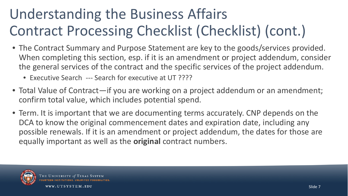## Understanding the Business Affairs Contract Processing Checklist (Checklist) (cont.)

- The Contract Summary and Purpose Statement are key to the goods/services provided. When completing this section, esp. if it is an amendment or project addendum, consider the general services of the contract and the specific services of the project addendum.
	- Executive Search --- Search for executive at UT ????
- Total Value of Contract—if you are working on a project addendum or an amendment; confirm total value, which includes potential spend.
- Term. It is important that we are documenting terms accurately. CNP depends on the DCA to know the original commencement dates and expiration date, including any possible renewals. If it is an amendment or project addendum, the dates for those are equally important as well as the **original** contract numbers.



UNIVERSITY of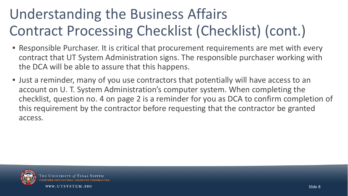## Understanding the Business Affairs Contract Processing Checklist (Checklist) (cont.)

- Responsible Purchaser. It is critical that procurement requirements are met with every contract that UT System Administration signs. The responsible purchaser working with the DCA will be able to assure that this happens.
- Just a reminder, many of you use contractors that potentially will have access to an account on U. T. System Administration's computer system. When completing the checklist, question no. 4 on page 2 is a reminder for you as DCA to confirm completion of this requirement by the contractor before requesting that the contractor be granted access.



UNIVERSITY O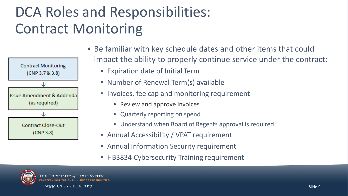#### DCA Roles and Responsibilities: Contract Monitoring



- Be familiar with key schedule dates and other items that could impact the ability to properly continue service under the contract:
	- Expiration date of Initial Term
	- Number of Renewal Term(s) available
	- Invoices, fee cap and monitoring requirement
		- Review and approve invoices
		- Quarterly reporting on spend
		- Understand when Board of Regents approval is required
	- Annual Accessibility / VPAT requirement
	- Annual Information Security requirement
	- HB3834 Cybersecurity Training requirement

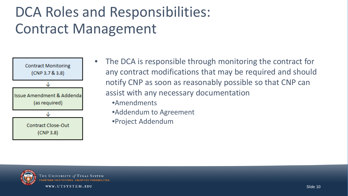#### DCA Roles and Responsibilities: Contract Management



- The DCA is responsible through monitoring the contract for any contract modifications that may be required and should notify CNP as soon as reasonably possible so that CNP can assist with any necessary documentation
	- •Amendments
	- •Addendum to Agreement
	- •Project Addendum



THE UNIVERSITY of TEXAS SYSTEM **FOURTEEN INSTITUTIONS, UNLIMITED POSSIBILITIES**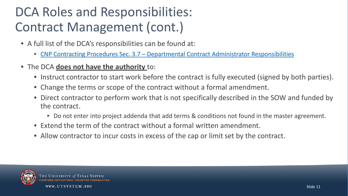#### DCA Roles and Responsibilities: Contract Management (cont.)

- A full list of the DCA's responsibilities can be found at:
	- CNP Contracting Procedures Sec. 3.7 [Departmental Contract Administrator Responsibilities](https://www.utsystem.edu/offices/contracts-and-procurement/37-contract-administrator-responsibilities)
- The DCA **does not have the authority** to:
	- Instruct contractor to start work before the contract is fully executed (signed by both parties).
	- Change the terms or scope of the contract without a formal amendment.
	- Direct contractor to perform work that is not specifically described in the SOW and funded by the contract.
		- Do not enter into project addenda that add terms & conditions not found in the master agreement.
	- Extend the term of the contract without a formal written amendment.
	- Allow contractor to incur costs in excess of the cap or limit set by the contract.



**THE UNIVERSITY of**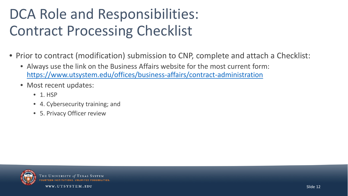#### DCA Role and Responsibilities: Contract Processing Checklist

- Prior to contract (modification) submission to CNP, complete and attach a Checklist:
	- Always use the link on the Business Affairs website for the most current form: <https://www.utsystem.edu/offices/business-affairs/contract-administration>
	- Most recent updates:
		- 1. HSP
		- 4. Cybersecurity training; and
		- 5. Privacy Officer review



THE UNIVERSITY of TEXAS SYSTEM COUPTEEN INSTITUTIONS UNLIMITED POSS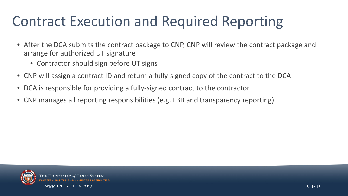#### Contract Execution and Required Reporting

- After the DCA submits the contract package to CNP, CNP will review the contract package and arrange for authorized UT signature
	- Contractor should sign before UT signs
- CNP will assign a contract ID and return a fully-signed copy of the contract to the DCA
- DCA is responsible for providing a fully-signed contract to the contractor
- CNP manages all reporting responsibilities (e.g. LBB and transparency reporting)



HE UNIVERSITY of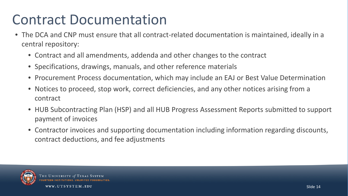#### Contract Documentation

- The DCA and CNP must ensure that all contract-related documentation is maintained, ideally in a central repository:
	- Contract and all amendments, addenda and other changes to the contract
	- Specifications, drawings, manuals, and other reference materials
	- Procurement Process documentation, which may include an EAJ or Best Value Determination
	- Notices to proceed, stop work, correct deficiencies, and any other notices arising from a contract
	- HUB Subcontracting Plan (HSP) and all HUB Progress Assessment Reports submitted to support payment of invoices
	- Contractor invoices and supporting documentation including information regarding discounts, contract deductions, and fee adjustments



**THE UNIVERSITY of**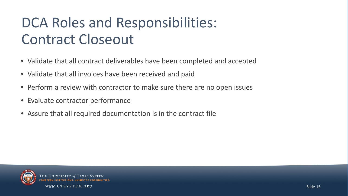#### DCA Roles and Responsibilities: Contract Closeout

- Validate that all contract deliverables have been completed and accepted
- Validate that all invoices have been received and paid
- Perform a review with contractor to make sure there are no open issues
- Evaluate contractor performance
- Assure that all required documentation is in the contract file



**HE UNIVERSITY 01**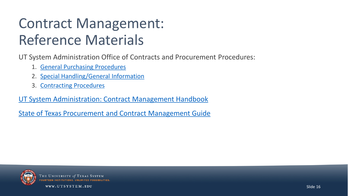#### Contract Management: Reference Materials

UT System Administration Office of Contracts and Procurement Procedures:

- 1. [General Purchasing Procedures](https://www.utsystem.edu/offices/contracts-and-procurement/general-purchasing-procedures)
- 2. [Special Handling/General Information](https://www.utsystem.edu/offices/contracts-and-procurement/special-handlinggeneral-information)
- 3. [Contracting Procedures](https://www.utsystem.edu/offices/contracts-and-procurement/contracting-procedures-0)

[UT System Administration: Contract Management Handbook](https://www.utsystem.edu/offices/contracts-and-procurement/forms-and-guides)

[State of Texas Procurement and Contract Management Guide](https://comptroller.texas.gov/purchasing/publications/procurement-contract.php)



THE UNIVERSITY of OURTEEN INSTITUTIONS UNLIM